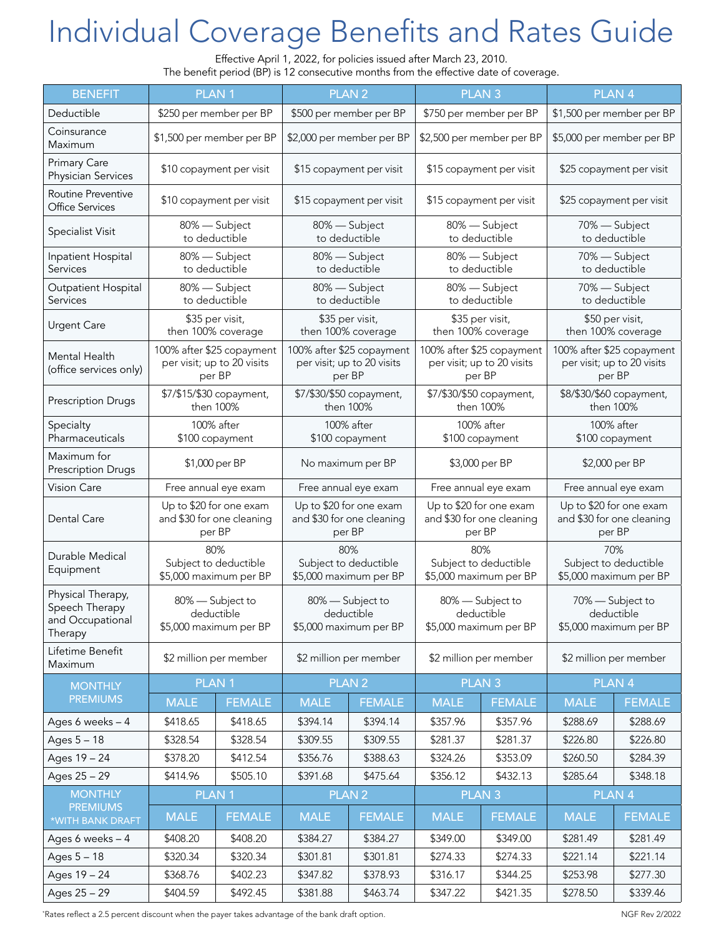## Individual Coverage Benefits and Rates Guide

Effective April 1, 2022, for policies issued after March 23, 2010.

| The benefit period (BP) is 12 consecutive months from the effective date of coverage. |                                                                   |                         |                                                                   |                         |                                                                   |                         |                                                                   |                           |  |  |  |
|---------------------------------------------------------------------------------------|-------------------------------------------------------------------|-------------------------|-------------------------------------------------------------------|-------------------------|-------------------------------------------------------------------|-------------------------|-------------------------------------------------------------------|---------------------------|--|--|--|
| <b>BENEFIT</b>                                                                        | <b>PLAN1</b>                                                      |                         |                                                                   | <b>PLAN2</b>            |                                                                   | <b>PLAN3</b>            | PLAN <sub>4</sub>                                                 |                           |  |  |  |
| Deductible                                                                            |                                                                   | \$250 per member per BP |                                                                   | \$500 per member per BP |                                                                   | \$750 per member per BP |                                                                   | \$1,500 per member per BP |  |  |  |
| Coinsurance<br>Maximum                                                                | \$1,500 per member per BP                                         |                         | \$2,000 per member per BP                                         |                         | \$2,500 per member per BP                                         |                         | \$5,000 per member per BP                                         |                           |  |  |  |
| <b>Primary Care</b><br>Physician Services                                             | \$10 copayment per visit                                          |                         | \$15 copayment per visit                                          |                         | \$15 copayment per visit                                          |                         | \$25 copayment per visit                                          |                           |  |  |  |
| Routine Preventive<br><b>Office Services</b>                                          | \$10 copayment per visit                                          |                         | \$15 copayment per visit                                          |                         | \$15 copayment per visit                                          |                         | \$25 copayment per visit                                          |                           |  |  |  |
| Specialist Visit                                                                      | 80% - Subject<br>to deductible                                    |                         | 80% - Subject<br>to deductible                                    |                         | 80% - Subject<br>to deductible                                    |                         | 70% - Subject<br>to deductible                                    |                           |  |  |  |
| Inpatient Hospital<br>Services                                                        | 80% - Subject<br>to deductible                                    |                         | 80% - Subject<br>to deductible                                    |                         | 80% - Subject<br>to deductible                                    |                         | 70% - Subject<br>to deductible                                    |                           |  |  |  |
| Outpatient Hospital<br>Services                                                       | 80% - Subject<br>to deductible                                    |                         | 80% - Subject<br>to deductible                                    |                         | 80% - Subject<br>to deductible                                    |                         | 70% - Subject<br>to deductible                                    |                           |  |  |  |
| <b>Urgent Care</b>                                                                    | \$35 per visit,<br>then 100% coverage                             |                         | \$35 per visit,<br>then 100% coverage                             |                         | \$35 per visit,<br>then 100% coverage                             |                         | \$50 per visit,<br>then 100% coverage                             |                           |  |  |  |
| Mental Health<br>(office services only)                                               | 100% after \$25 copayment<br>per visit; up to 20 visits<br>per BP |                         | 100% after \$25 copayment<br>per visit; up to 20 visits<br>per BP |                         | 100% after \$25 copayment<br>per visit; up to 20 visits<br>per BP |                         | 100% after \$25 copayment<br>per visit; up to 20 visits<br>per BP |                           |  |  |  |
| <b>Prescription Drugs</b>                                                             | \$7/\$15/\$30 copayment,<br>then 100%                             |                         | \$7/\$30/\$50 copayment,<br>then 100%                             |                         | \$7/\$30/\$50 copayment,<br>then 100%                             |                         | \$8/\$30/\$60 copayment,<br>then 100%                             |                           |  |  |  |
| Specialty<br>Pharmaceuticals                                                          | 100% after<br>\$100 copayment                                     |                         | 100% after<br>\$100 copayment                                     |                         | 100% after<br>\$100 copayment                                     |                         | 100% after<br>\$100 copayment                                     |                           |  |  |  |
| Maximum for<br><b>Prescription Drugs</b>                                              | \$1,000 per BP                                                    |                         | No maximum per BP                                                 |                         | \$3,000 per BP                                                    |                         | \$2,000 per BP                                                    |                           |  |  |  |
| <b>Vision Care</b>                                                                    | Free annual eye exam                                              |                         | Free annual eye exam                                              |                         | Free annual eye exam                                              |                         | Free annual eye exam                                              |                           |  |  |  |
| Dental Care                                                                           | Up to \$20 for one exam<br>and \$30 for one cleaning<br>per BP    |                         | Up to \$20 for one exam<br>and \$30 for one cleaning<br>per BP    |                         | Up to \$20 for one exam<br>and \$30 for one cleaning<br>per BP    |                         | Up to \$20 for one exam<br>and \$30 for one cleaning<br>per BP    |                           |  |  |  |
| Durable Medical<br>Equipment                                                          | 80%<br>Subject to deductible<br>\$5,000 maximum per BP            |                         | 80%<br>Subject to deductible<br>\$5,000 maximum per BP            |                         | 80%<br>Subject to deductible<br>\$5,000 maximum per BP            |                         | 70%<br>Subject to deductible<br>\$5,000 maximum per BP            |                           |  |  |  |
| Physical Therapy,<br>Speech Therapy<br>and Occupational<br>Therapy                    | 80% - Subject to<br>deductible<br>\$5,000 maximum per BP          |                         | 80% - Subject to<br>deductible<br>\$5,000 maximum per BP          |                         | 80% - Subject to<br>deductible<br>\$5,000 maximum per BP          |                         | 70% - Subject to<br>deductible<br>\$5,000 maximum per BP          |                           |  |  |  |
| Lifetime Benefit<br>Maximum                                                           | \$2 million per member                                            |                         | \$2 million per member                                            |                         | \$2 million per member                                            |                         | \$2 million per member                                            |                           |  |  |  |
| <b>MONTHLY</b><br><b>PREMIUMS</b>                                                     | <b>PLAN1</b>                                                      |                         | PLAN <sub>2</sub>                                                 |                         | <b>PLAN3</b>                                                      |                         | PLAN <sub>4</sub>                                                 |                           |  |  |  |
|                                                                                       | <b>MALE</b>                                                       | <b>FEMALE</b>           | <b>MALE</b>                                                       | <b>FEMALE</b>           | <b>MALE</b>                                                       | <b>FEMALE</b>           | <b>MALE</b>                                                       | <b>FEMALE</b>             |  |  |  |
| Ages 6 weeks - 4                                                                      | \$418.65                                                          | \$418.65                | \$394.14                                                          | \$394.14                | \$357.96                                                          | \$357.96                | \$288.69                                                          | \$288.69                  |  |  |  |
| Ages 5 - 18                                                                           | \$328.54                                                          | \$328.54                | \$309.55                                                          | \$309.55                | \$281.37                                                          | \$281.37                | \$226.80                                                          | \$226.80                  |  |  |  |
| Ages 19 - 24                                                                          | \$378.20                                                          | \$412.54                | \$356.76                                                          | \$388.63                | \$324.26                                                          | \$353.09                | \$260.50                                                          | \$284.39                  |  |  |  |
| Ages 25 - 29                                                                          | \$414.96                                                          | \$505.10                | \$391.68                                                          | \$475.64                | \$356.12                                                          | \$432.13                | \$285.64                                                          | \$348.18                  |  |  |  |
| <b>MONTHLY</b>                                                                        | PLAN <sub>1</sub>                                                 |                         | PLAN <sub>2</sub>                                                 |                         | PLAN <sub>3</sub>                                                 |                         | PLAN <sub>4</sub>                                                 |                           |  |  |  |
| <b>PREMIUMS</b><br>*WITH BANK DRAFT                                                   | <b>MALE</b>                                                       | <b>FEMALE</b>           | <b>MALE</b>                                                       | <b>FEMALE</b>           | <b>MALE</b>                                                       | <b>FEMALE</b>           | <b>MALE</b>                                                       | <b>FEMALE</b>             |  |  |  |
| Ages 6 weeks - 4                                                                      | \$408.20                                                          | \$408.20                | \$384.27                                                          | \$384.27                | \$349.00                                                          | \$349.00                | \$281.49                                                          | \$281.49                  |  |  |  |
| Ages 5 - 18                                                                           | \$320.34                                                          | \$320.34                | \$301.81                                                          | \$301.81                | \$274.33                                                          | \$274.33                | \$221.14                                                          | \$221.14                  |  |  |  |
| Ages 19 - 24                                                                          | \$368.76                                                          | \$402.23                | \$347.82                                                          | \$378.93                | \$316.17                                                          | \$344.25                | \$253.98                                                          | \$277.30                  |  |  |  |
| Ages 25 - 29                                                                          | \$404.59                                                          | \$492.45                | \$381.88                                                          | \$463.74                | \$347.22                                                          | \$421.35                | \$278.50                                                          | \$339.46                  |  |  |  |

\* Rates reflect a 2.5 percent discount when the payer takes advantage of the bank draft option. NGF Rev 2/2022